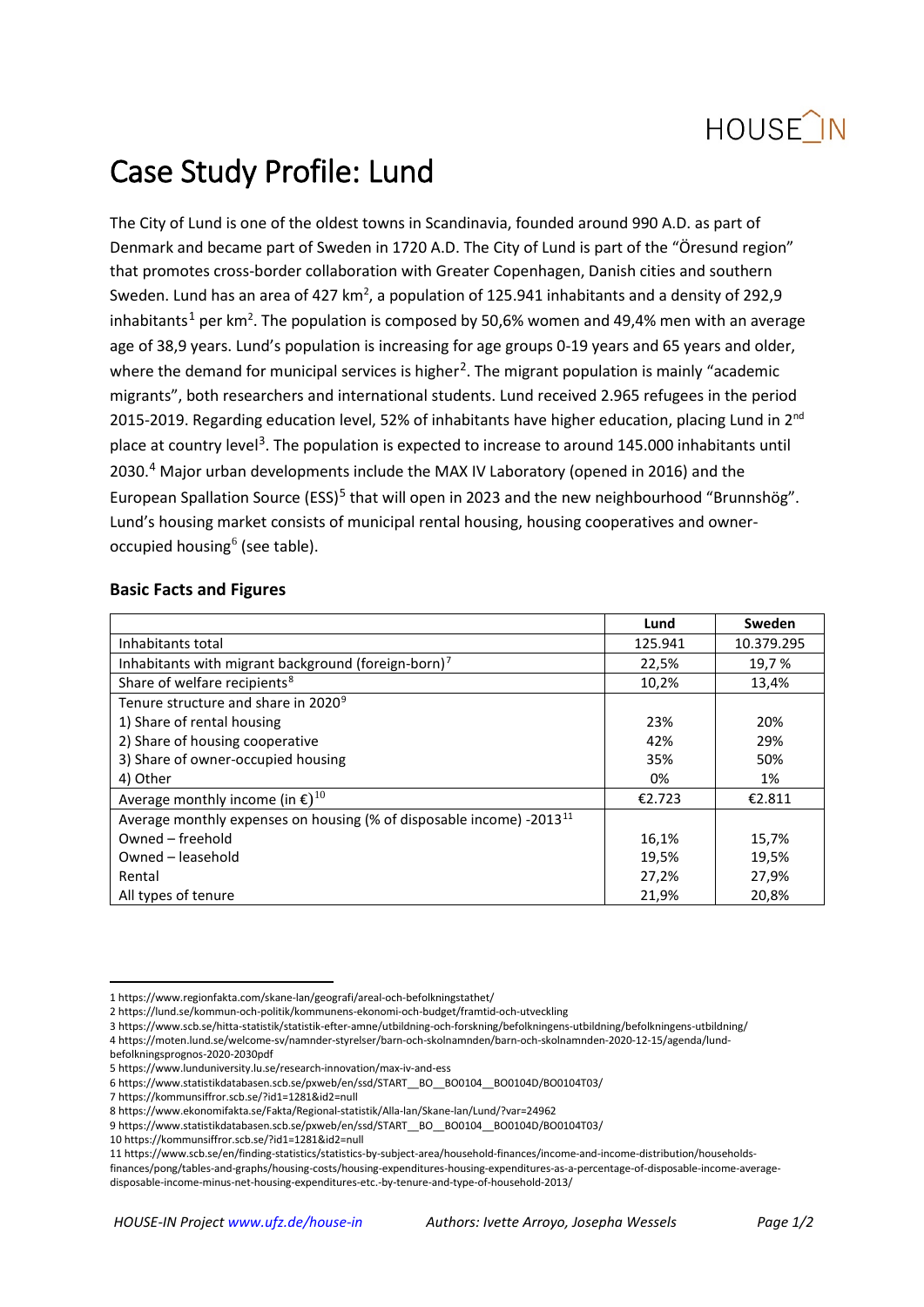

# Case Study Profile: Lund

The City of Lund is one of the oldest towns in Scandinavia, founded around 990 A.D. as part of Denmark and became part of Sweden in 1720 A.D. The City of Lund is part of the "Öresund region" that promotes cross-border collaboration with Greater Copenhagen, Danish cities and southern Sweden. Lund has an area of 427  $km^2$ , a population of 125.941 inhabitants and a density of 292,9 inhabitants<sup>[1](#page-0-0)</sup> per km<sup>2</sup>. The population is composed by 50,6% women and 49,4% men with an average age of 38,9 years. Lund's population is increasing for age groups 0-19 years and 65 years and older, where the demand for municipal services is higher<sup>2</sup>. The migrant population is mainly "academic migrants", both researchers and international students. Lund received 2.965 refugees in the period 2015-2019. Regarding education level, 52% of inhabitants have higher education, placing Lund in 2<sup>nd</sup> place at country level<sup>[3](#page-0-2)</sup>. The population is expected to increase to around 145.000 inhabitants until 2030.<sup>[4](#page-0-3)</sup> Major urban developments include the MAX IV Laboratory (opened in 2016) and the European Spallation Source (ESS)<sup>[5](#page-0-4)</sup> that will open in 2023 and the new neighbourhood "Brunnshög". Lund's housing market consists of municipal rental housing, housing cooperatives and owner-occupied housing<sup>[6](#page-0-5)</sup> (see table).

### **Basic Facts and Figures**

|                                                                                  | Lund    | Sweden     |
|----------------------------------------------------------------------------------|---------|------------|
| Inhabitants total                                                                | 125.941 | 10.379.295 |
| Inhabitants with migrant background (foreign-born) <sup>7</sup>                  | 22,5%   | 19,7%      |
| Share of welfare recipients <sup>8</sup>                                         | 10,2%   | 13,4%      |
| Tenure structure and share in 2020 <sup>9</sup>                                  |         |            |
| 1) Share of rental housing                                                       | 23%     | 20%        |
| 2) Share of housing cooperative                                                  | 42%     | 29%        |
| 3) Share of owner-occupied housing                                               | 35%     | 50%        |
| 4) Other                                                                         | 0%      | 1%         |
| Average monthly income (in $\epsilon$ ) <sup>10</sup>                            | €2.723  | €2.811     |
| Average monthly expenses on housing (% of disposable income) -2013 <sup>11</sup> |         |            |
| Owned – freehold                                                                 | 16,1%   | 15,7%      |
| Owned - leasehold                                                                | 19,5%   | 19,5%      |
| Rental                                                                           | 27,2%   | 27,9%      |
| All types of tenure                                                              | 21,9%   | 20,8%      |

<span id="page-0-10"></span>[finances/pong/tables-and-graphs/housing-costs/housing-expenditures-housing-expenditures-as-a-percentage-of-disposable-income-average](https://www.scb.se/en/finding-statistics/statistics-by-subject-area/household-finances/income-and-income-distribution/households-finances/pong/tables-and-graphs/housing-costs/housing-expenditures-housing-expenditures-as-a-percentage-of-disposable-income-average-disposable-income-minus-net-housing-expenditures-etc.-by-tenure-and-type-of-household-2013/)[disposable-income-minus-net-housing-expenditures-etc.-by-tenure-and-type-of-household-2013/](https://www.scb.se/en/finding-statistics/statistics-by-subject-area/household-finances/income-and-income-distribution/households-finances/pong/tables-and-graphs/housing-costs/housing-expenditures-housing-expenditures-as-a-percentage-of-disposable-income-average-disposable-income-minus-net-housing-expenditures-etc.-by-tenure-and-type-of-household-2013/)

<span id="page-0-0"></span> <sup>1</sup> <https://www.regionfakta.com/skane-lan/geografi/areal-och-befolkningstathet/>

<span id="page-0-1"></span><sup>2</sup> <https://lund.se/kommun-och-politik/kommunens-ekonomi-och-budget/framtid-och-utveckling>

<span id="page-0-2"></span><sup>3</sup> <https://www.scb.se/hitta-statistik/statistik-efter-amne/utbildning-och-forskning/befolkningens-utbildning/befolkningens-utbildning/>

<span id="page-0-3"></span><sup>4</sup> [https://moten.lund.se/welcome-sv/namnder-styrelser/barn-och-skolnamnden/barn-och-skolnamnden-2020-12-15/agenda/lund](https://moten.lund.se/welcome-sv/namnder-styrelser/barn-och-skolnamnden/barn-och-skolnamnden-2020-12-15/agenda/lund-befolkningsprognos-2020-2030pdf)[befolkningsprognos-2020-2030pdf](https://moten.lund.se/welcome-sv/namnder-styrelser/barn-och-skolnamnden/barn-och-skolnamnden-2020-12-15/agenda/lund-befolkningsprognos-2020-2030pdf) 

<span id="page-0-4"></span><sup>5</sup> <https://www.lunduniversity.lu.se/research-innovation/max-iv-and-ess>

<span id="page-0-5"></span><sup>6</sup> [https://www.statistikdatabasen.scb.se/pxweb/en/ssd/START\\_\\_BO\\_\\_BO0104\\_\\_BO0104D/BO0104T03/](https://www.statistikdatabasen.scb.se/pxweb/en/ssd/START__BO__BO0104__BO0104D/BO0104T03/)

<span id="page-0-6"></span><sup>7</sup> <https://kommunsiffror.scb.se/?id1=1281&id2=null>

<sup>8</sup> <https://www.ekonomifakta.se/Fakta/Regional-statistik/Alla-lan/Skane-lan/Lund/?var=24962>

<span id="page-0-9"></span><span id="page-0-8"></span><span id="page-0-7"></span><sup>9</sup> https://www.statistikdatabasen.scb.se/pxweb/en/ssd/START\_\_BO\_\_BO0104\_\_BO0104D/BO0104T03/

<sup>10</sup> https://kommunsiffror.scb.se/?id1=1281&id2=null

<sup>11</sup> [https://www.scb.se/en/finding-statistics/statistics-by-subject-area/household-finances/income-and-income-distribution/households-](https://www.scb.se/en/finding-statistics/statistics-by-subject-area/household-finances/income-and-income-distribution/households-finances/pong/tables-and-graphs/housing-costs/housing-expenditures-housing-expenditures-as-a-percentage-of-disposable-income-average-disposable-income-minus-net-housing-expenditures-etc.-by-tenure-and-type-of-household-2013/)